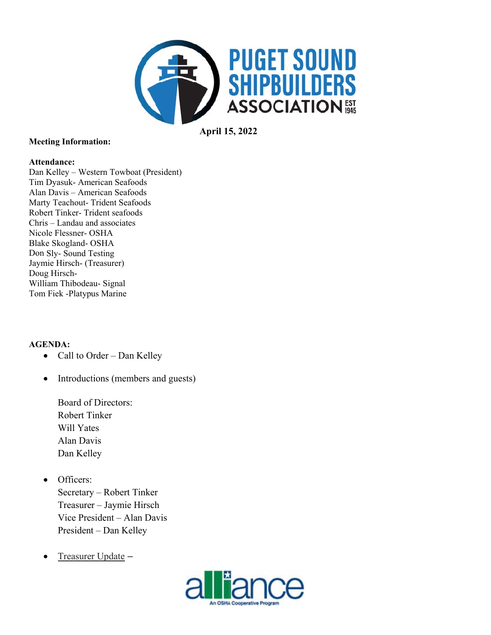

**April 15, 2022** 

### **Meeting Information:**

### **Attendance:**

Dan Kelley - Western Towboat (President) Tim Dyasuk- American Seafoods Alan Davis - American Seafoods Marty Teachout- Trident Seafoods Robert Tinker-Trident seafoods Chris – Landau and associates Nicole Flessner- OSHA **Blake Skogland- OSHA** Don Sly-Sound Testing Jaymie Hirsch- (Treasurer) Doug Hirsch-William Thibodeau- Signal Tom Fiek -Platypus Marine

### **AGENDA:**

- Call to Order Dan Kelley
- Introductions (members and guests)  $\bullet$

**Board of Directors: Robert Tinker** Will Yates Alan Davis Dan Kelley

- Officers:  $\bullet$ Secretary - Robert Tinker Treasurer - Jaymie Hirsch Vice President - Alan Davis President - Dan Kelley
- Treasurer Update - $\bullet$

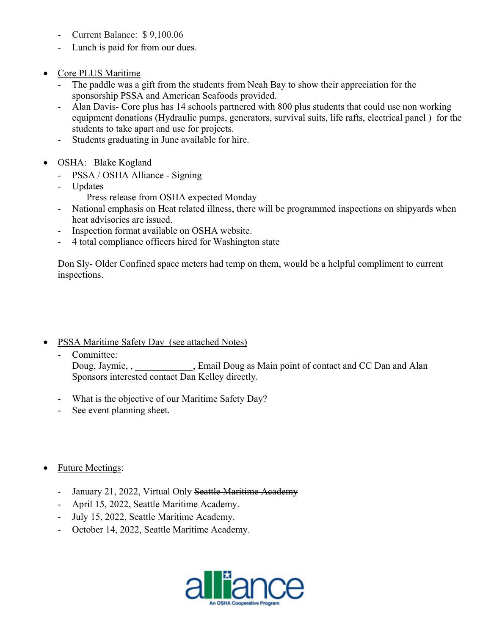- Current Balance: \$9,100.06
- Lunch is paid for from our dues.
- Core PLUS Maritime
	- The paddle was a gift from the students from Neah Bay to show their appreciation for the sponsorship PSSA and American Seafoods provided.
	- Alan Davis- Core plus has 14 schools partnered with 800 plus students that could use non working equipment donations (Hydraulic pumps, generators, survival suits, life rafts, electrical panel ) for the students to take apart and use for projects.
	- Students graduating in June available for hire.
- OSHA: Blake Kogland
	- PSSA / OSHA Alliance Signing
	- Updates
		- Press release from OSHA expected Monday
	- National emphasis on Heat related illness, there will be programmed inspections on shipyards when heat advisories are issued.
	- Inspection format available on OSHA website.
	- 4 total compliance officers hired for Washington state

Don Sly- Older Confined space meters had temp on them, would be a helpful compliment to current inspections.

- PSSA Maritime Safety Day (see attached Notes)
	- Committee:

Doug, Jaymie, , The Boug as Main point of contact and CC Dan and Alan Sponsors interested contact Dan Kelley directly.

- What is the objective of our Maritime Safety Day?
- See event planning sheet.
- Future Meetings:
	- January 21, 2022, Virtual Only Seattle Maritime Academy
	- April 15, 2022, Seattle Maritime Academy.
	- July 15, 2022, Seattle Maritime Academy.
	- October 14, 2022, Seattle Maritime Academy.

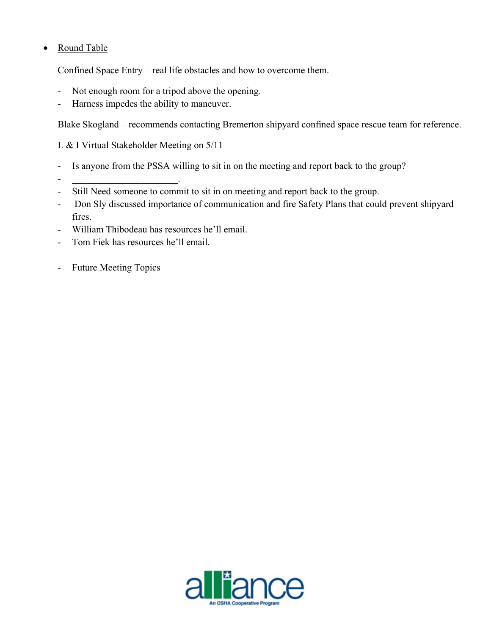# • Round Table

Confined Space Entry – real life obstacles and how to overcome them.

- Not enough room for a tripod above the opening.
- Harness impedes the ability to maneuver.

Blake Skogland – recommends contacting Bremerton shipyard confined space rescue team for reference.

L & I Virtual Stakeholder Meeting on 5/11

- Is anyone from the PSSA willing to sit in on the meeting and report back to the group?
- Still Need someone to commit to sit in on meeting and report back to the group.
- Don Sly discussed importance of communication and fire Safety Plans that could prevent shipyard fires.
- William Thibodeau has resources he'll email.
- Tom Fiek has resources he'll email.

-  $\sim$   $\sim$   $\sim$   $\sim$   $\sim$   $\sim$   $\sim$ 

- Future Meeting Topics

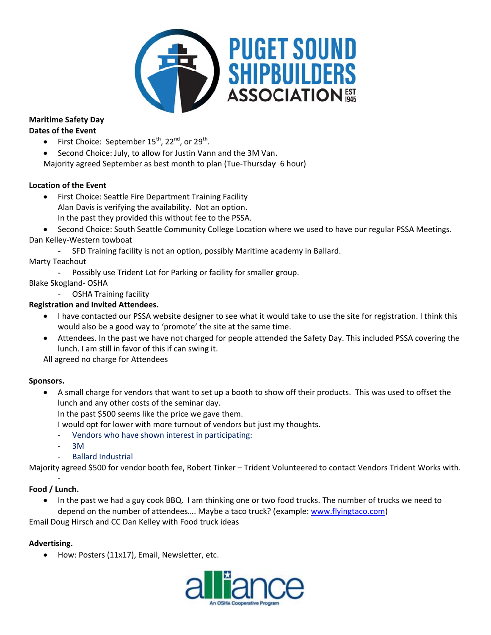

#### **Maritime Safety Day Dates of the Event**

- First Choice: September 15<sup>th</sup>, 22<sup>nd</sup>, or 29<sup>th</sup>.  $\bullet$
- Second Choice: July, to allow for Justin Vann and the 3M Van.
- Majority agreed September as best month to plan (Tue-Thursday 6 hour)

## **Location of the Event**

- First Choice: Seattle Fire Department Training Facility Alan Davis is verifying the availability. Not an option. In the past they provided this without fee to the PSSA.
- Second Choice: South Seattle Community College Location where we used to have our regular PSSA Meetings. Dan Kelley-Western towboat
	- $\omega$  . SFD Training facility is not an option, possibly Maritime academy in Ballard.

## **Marty Teachout**

Possibly use Trident Lot for Parking or facility for smaller group.  $\Delta \sim 10^4$ 

## **Blake Skogland-OSHA**

 $\sim$ **OSHA Training facility** 

## **Registration and Invited Attendees.**

- I have contacted our PSSA website designer to see what it would take to use the site for registration. I think this would also be a good way to 'promote' the site at the same time.
- Attendees. In the past we have not charged for people attended the Safety Day. This included PSSA covering the lunch. I am still in favor of this if can swing it.

All agreed no charge for Attendees

### Sponsors.

- A small charge for vendors that want to set up a booth to show off their products. This was used to offset the  $\bullet$ lunch and any other costs of the seminar day.
	- In the past \$500 seems like the price we gave them.
	- I would opt for lower with more turnout of vendors but just my thoughts.
	- Vendors who have shown interest in participating:
	- 3M
	- **Ballard Industrial**

Majority agreed \$500 for vendor booth fee, Robert Tinker - Trident Volunteered to contact Vendors Trident Works with.

## Food / Lunch.

In the past we had a guy cook BBQ. I am thinking one or two food trucks. The number of trucks we need to depend on the number of attendees.... Maybe a taco truck? (example: www.flyingtaco.com)

Email Doug Hirsch and CC Dan Kelley with Food truck ideas

### Advertising.

How: Posters (11x17), Email, Newsletter, etc.  $\bullet$